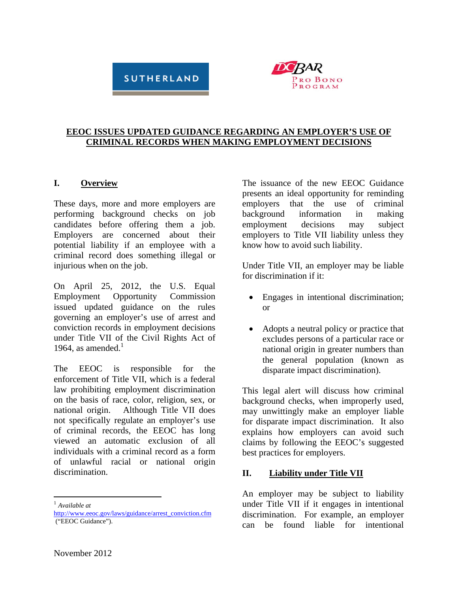# **SUTHERLAND**



#### **EEOC ISSUES UPDATED GUIDANCE REGARDING AN EMPLOYER'S USE OF CRIMINAL RECORDS WHEN MAKING EMPLOYMENT DECISIONS**

#### **I. Overview**

These days, more and more employers are performing background checks on job candidates before offering them a job. Employers are concerned about their potential liability if an employee with a criminal record does something illegal or injurious when on the job.

On April 25, 2012, the U.S. Equal Employment Opportunity Commission issued updated guidance on the rules governing an employer's use of arrest and conviction records in employment decisions under Title VII of the Civil Rights Act of 1964, as amended. $<sup>1</sup>$ </sup>

The EEOC is responsible for the enforcement of Title VII, which is a federal law prohibiting employment discrimination on the basis of race, color, religion, sex, or national origin. Although Title VII does not specifically regulate an employer's use of criminal records, the EEOC has long viewed an automatic exclusion of all individuals with a criminal record as a form of unlawful racial or national origin discrimination.

<sup>1</sup> *Available at*

 $\overline{a}$ 

The issuance of the new EEOC Guidance presents an ideal opportunity for reminding employers that the use of criminal background information in making employment decisions may subject employers to Title VII liability unless they know how to avoid such liability.

Under Title VII, an employer may be liable for discrimination if it:

- Engages in intentional discrimination; or
- Adopts a neutral policy or practice that excludes persons of a particular race or national origin in greater numbers than the general population (known as disparate impact discrimination).

This legal alert will discuss how criminal background checks, when improperly used, may unwittingly make an employer liable for disparate impact discrimination. It also explains how employers can avoid such claims by following the EEOC's suggested best practices for employers.

#### **II. Liability under Title VII**

An employer may be subject to liability under Title VII if it engages in intentional discrimination. For example, an employer can be found liable for intentional

http://www.eeoc.gov/laws/guidance/arrest\_conviction.cfm ("EEOC Guidance").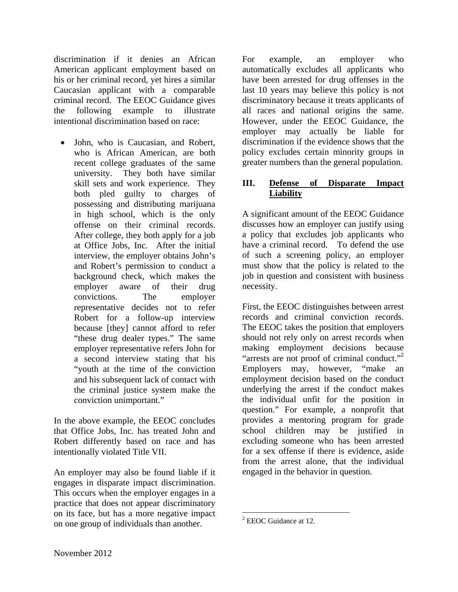discrimination if it denies an African American applicant employment based on his or her criminal record, yet hires a similar Caucasian applicant with a comparable criminal record. The EEOC Guidance gives the following example to illustrate intentional discrimination based on race:

• John, who is Caucasian, and Robert, who is African American, are both recent college graduates of the same university. They both have similar skill sets and work experience. They both pled guilty to charges of possessing and distributing marijuana in high school, which is the only offense on their criminal records. After college, they both apply for a job at Office Jobs, Inc. After the initial interview, the employer obtains John's and Robert's permission to conduct a background check, which makes the employer aware of their drug convictions. The employer representative decides not to refer Robert for a follow-up interview because [they] cannot afford to refer "these drug dealer types." The same employer representative refers John for a second interview stating that his "youth at the time of the conviction and his subsequent lack of contact with the criminal justice system make the conviction unimportant."

In the above example, the EEOC concludes that Office Jobs, Inc. has treated John and Robert differently based on race and has intentionally violated Title VII.

An employer may also be found liable if it engages in disparate impact discrimination. This occurs when the employer engages in a practice that does not appear discriminatory on its face, but has a more negative impact on one group of individuals than another.

For example, an employer who automatically excludes all applicants who have been arrested for drug offenses in the last 10 years may believe this policy is not discriminatory because it treats applicants of all races and national origins the same. However, under the EEOC Guidance, the employer may actually be liable for discrimination if the evidence shows that the policy excludes certain minority groups in greater numbers than the general population.

#### **III. Defense of Disparate Impact Liability**

A significant amount of the EEOC Guidance discusses how an employer can justify using a policy that excludes job applicants who have a criminal record. To defend the use of such a screening policy, an employer must show that the policy is related to the job in question and consistent with business necessity.

First, the EEOC distinguishes between arrest records and criminal conviction records. The EEOC takes the position that employers should not rely only on arrest records when making employment decisions because "arrests are not proof of criminal conduct."<sup>2</sup> Employers may, however, "make an employment decision based on the conduct underlying the arrest if the conduct makes the individual unfit for the position in question." For example, a nonprofit that provides a mentoring program for grade school children may be justified in excluding someone who has been arrested for a sex offense if there is evidence, aside from the arrest alone, that the individual engaged in the behavior in question.

1

 $2$  EEOC Guidance at 12.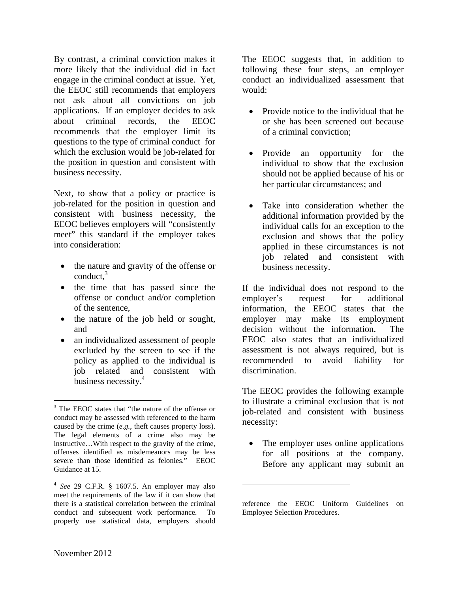By contrast, a criminal conviction makes it more likely that the individual did in fact engage in the criminal conduct at issue. Yet, the EEOC still recommends that employers not ask about all convictions on job applications. If an employer decides to ask about criminal records, the EEOC recommends that the employer limit its questions to the type of criminal conduct for which the exclusion would be job-related for the position in question and consistent with business necessity.

Next, to show that a policy or practice is job-related for the position in question and consistent with business necessity, the EEOC believes employers will "consistently meet" this standard if the employer takes into consideration:

- the nature and gravity of the offense or conduct, $3$
- the time that has passed since the offense or conduct and/or completion of the sentence,
- the nature of the job held or sought, and
- an individualized assessment of people excluded by the screen to see if the policy as applied to the individual is job related and consistent with business necessity.<sup>4</sup>

The EEOC suggests that, in addition to following these four steps, an employer conduct an individualized assessment that would:

- Provide notice to the individual that he or she has been screened out because of a criminal conviction;
- Provide an opportunity for the individual to show that the exclusion should not be applied because of his or her particular circumstances; and
- Take into consideration whether the additional information provided by the individual calls for an exception to the exclusion and shows that the policy applied in these circumstances is not job related and consistent with business necessity.

If the individual does not respond to the employer's request for additional information, the EEOC states that the employer may make its employment decision without the information. The EEOC also states that an individualized assessment is not always required, but is recommended to avoid liability for discrimination.

The EEOC provides the following example to illustrate a criminal exclusion that is not job-related and consistent with business necessity:

• The employer uses online applications for all positions at the company. Before any applicant may submit an

 $\overline{a}$ 

 $\overline{a}$ 

<sup>&</sup>lt;sup>3</sup> The EEOC states that "the nature of the offense or conduct may be assessed with referenced to the harm caused by the crime (*e.g.*, theft causes property loss). The legal elements of a crime also may be instructive…With respect to the gravity of the crime, offenses identified as misdemeanors may be less severe than those identified as felonies." EEOC Guidance at 15.

<sup>4</sup> *See* 29 C.F.R. § 1607.5. An employer may also meet the requirements of the law if it can show that there is a statistical correlation between the criminal conduct and subsequent work performance. To properly use statistical data, employers should

reference the EEOC Uniform Guidelines on Employee Selection Procedures.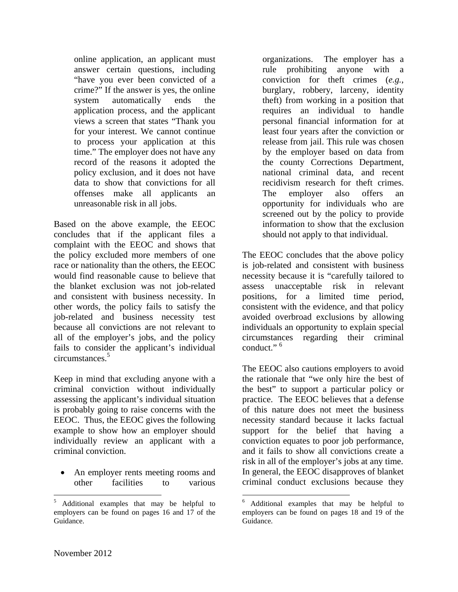online application, an applicant must answer certain questions, including "have you ever been convicted of a crime?" If the answer is yes, the online system automatically ends the application process, and the applicant views a screen that states "Thank you for your interest. We cannot continue to process your application at this time." The employer does not have any record of the reasons it adopted the policy exclusion, and it does not have data to show that convictions for all offenses make all applicants an unreasonable risk in all jobs.

Based on the above example, the EEOC concludes that if the applicant files a complaint with the EEOC and shows that the policy excluded more members of one race or nationality than the others, the EEOC would find reasonable cause to believe that the blanket exclusion was not job-related and consistent with business necessity. In other words, the policy fails to satisfy the job-related and business necessity test because all convictions are not relevant to all of the employer's jobs, and the policy fails to consider the applicant's individual circumstances.5

Keep in mind that excluding anyone with a criminal conviction without individually assessing the applicant's individual situation is probably going to raise concerns with the EEOC. Thus, the EEOC gives the following example to show how an employer should individually review an applicant with a criminal conviction.

 An employer rents meeting rooms and other facilities to various

organizations. The employer has a rule prohibiting anyone with a conviction for theft crimes (*e.g.*, burglary, robbery, larceny, identity theft) from working in a position that requires an individual to handle personal financial information for at least four years after the conviction or release from jail. This rule was chosen by the employer based on data from the county Corrections Department, national criminal data, and recent recidivism research for theft crimes. The employer also offers an opportunity for individuals who are screened out by the policy to provide information to show that the exclusion should not apply to that individual.

The EEOC concludes that the above policy is job-related and consistent with business necessity because it is "carefully tailored to assess unacceptable risk in relevant positions, for a limited time period, consistent with the evidence, and that policy avoided overbroad exclusions by allowing individuals an opportunity to explain special circumstances regarding their criminal conduct  $"$ <sup>6</sup>

The EEOC also cautions employers to avoid the rationale that "we only hire the best of the best" to support a particular policy or practice. The EEOC believes that a defense of this nature does not meet the business necessity standard because it lacks factual support for the belief that having a conviction equates to poor job performance, and it fails to show all convictions create a risk in all of the employer's jobs at any time. In general, the EEOC disapproves of blanket criminal conduct exclusions because they

 $\overline{a}$ 

 $\overline{a}$ 

<sup>&</sup>lt;sup>5</sup> Additional examples that may be helpful to employers can be found on pages 16 and 17 of the Guidance.

<sup>6</sup> Additional examples that may be helpful to employers can be found on pages 18 and 19 of the Guidance.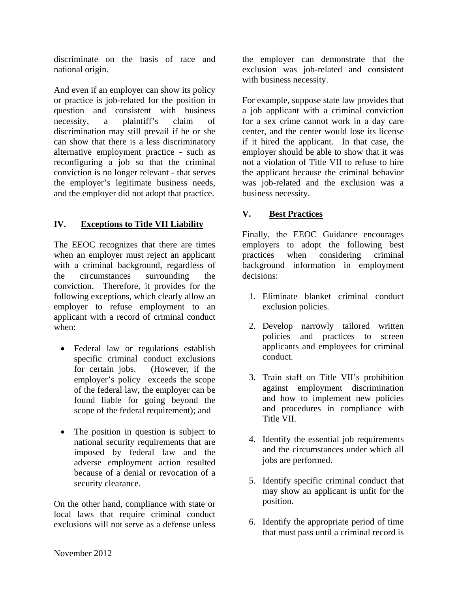discriminate on the basis of race and national origin.

And even if an employer can show its policy or practice is job-related for the position in question and consistent with business necessity, a plaintiff's claim of discrimination may still prevail if he or she can show that there is a less discriminatory alternative employment practice - such as reconfiguring a job so that the criminal conviction is no longer relevant - that serves the employer's legitimate business needs, and the employer did not adopt that practice.

## **IV. Exceptions to Title VII Liability**

The EEOC recognizes that there are times when an employer must reject an applicant with a criminal background, regardless of the circumstances surrounding the conviction. Therefore, it provides for the following exceptions, which clearly allow an employer to refuse employment to an applicant with a record of criminal conduct when:

- Federal law or regulations establish specific criminal conduct exclusions for certain jobs. (However, if the employer's policy exceeds the scope of the federal law, the employer can be found liable for going beyond the scope of the federal requirement); and
- The position in question is subject to national security requirements that are imposed by federal law and the adverse employment action resulted because of a denial or revocation of a security clearance.

On the other hand, compliance with state or local laws that require criminal conduct exclusions will not serve as a defense unless

the employer can demonstrate that the exclusion was job-related and consistent with business necessity.

For example, suppose state law provides that a job applicant with a criminal conviction for a sex crime cannot work in a day care center, and the center would lose its license if it hired the applicant. In that case, the employer should be able to show that it was not a violation of Title VII to refuse to hire the applicant because the criminal behavior was job-related and the exclusion was a business necessity.

### **V. Best Practices**

Finally, the EEOC Guidance encourages employers to adopt the following best practices when considering criminal background information in employment decisions:

- 1. Eliminate blanket criminal conduct exclusion policies.
- 2. Develop narrowly tailored written policies and practices to screen applicants and employees for criminal conduct.
- 3. Train staff on Title VII's prohibition against employment discrimination and how to implement new policies and procedures in compliance with Title VII.
- 4. Identify the essential job requirements and the circumstances under which all jobs are performed.
- 5. Identify specific criminal conduct that may show an applicant is unfit for the position.
- 6. Identify the appropriate period of time that must pass until a criminal record is